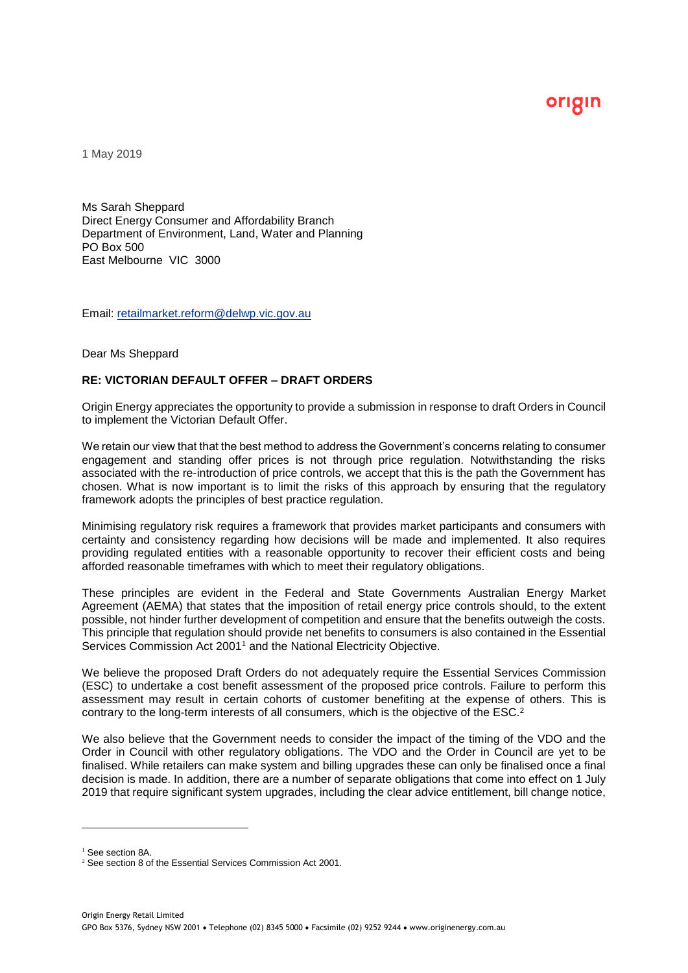origin

1 May 2019

Ms Sarah Sheppard Direct Energy Consumer and Affordability Branch Department of Environment, Land, Water and Planning PO Box 500 East Melbourne VIC 3000

Email: retailmarket.reform@delwp.vic.gov.au

#### Dear Ms Sheppard

## **RE: VICTORIAN DEFAULT OFFER – DRAFT ORDERS**

Origin Energy appreciates the opportunity to provide a submission in response to draft Orders in Council to implement the Victorian Default Offer.

We retain our view that that the best method to address the Government's concerns relating to consumer engagement and standing offer prices is not through price regulation. Notwithstanding the risks associated with the re-introduction of price controls, we accept that this is the path the Government has chosen. What is now important is to limit the risks of this approach by ensuring that the regulatory framework adopts the principles of best practice regulation.

Minimising regulatory risk requires a framework that provides market participants and consumers with certainty and consistency regarding how decisions will be made and implemented. It also requires providing regulated entities with a reasonable opportunity to recover their efficient costs and being afforded reasonable timeframes with which to meet their regulatory obligations.

These principles are evident in the Federal and State Governments Australian Energy Market Agreement (AEMA) that states that the imposition of retail energy price controls should, to the extent possible, not hinder further development of competition and ensure that the benefits outweigh the costs. This principle that regulation should provide net benefits to consumers is also contained in the Essential Services Commission Act 2001<sup>1</sup> and the National Electricity Objective.

We believe the proposed Draft Orders do not adequately require the Essential Services Commission (ESC) to undertake a cost benefit assessment of the proposed price controls. Failure to perform this assessment may result in certain cohorts of customer benefiting at the expense of others. This is contrary to the long-term interests of all consumers, which is the objective of the ESC. 2

We also believe that the Government needs to consider the impact of the timing of the VDO and the Order in Council with other regulatory obligations. The VDO and the Order in Council are yet to be finalised. While retailers can make system and billing upgrades these can only be finalised once a final decision is made. In addition, there are a number of separate obligations that come into effect on 1 July 2019 that require significant system upgrades, including the clear advice entitlement, bill change notice,

<sup>&</sup>lt;sup>1</sup> See section 8A.

<sup>&</sup>lt;sup>2</sup> See section 8 of the Essential Services Commission Act 2001.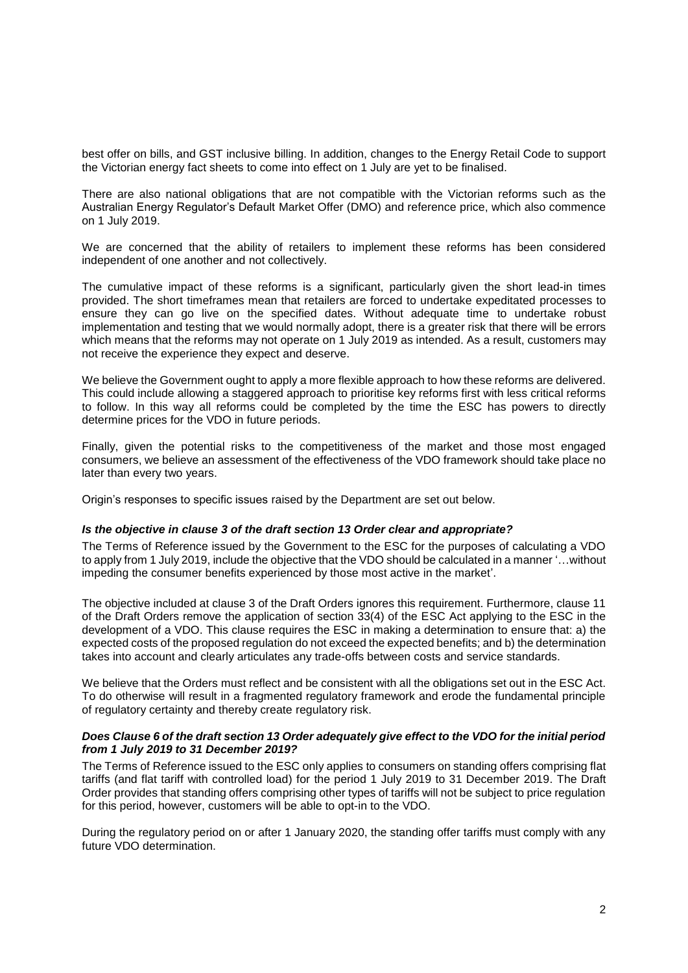best offer on bills, and GST inclusive billing. In addition, changes to the Energy Retail Code to support the Victorian energy fact sheets to come into effect on 1 July are yet to be finalised.

There are also national obligations that are not compatible with the Victorian reforms such as the Australian Energy Regulator's Default Market Offer (DMO) and reference price, which also commence on 1 July 2019.

We are concerned that the ability of retailers to implement these reforms has been considered independent of one another and not collectively.

The cumulative impact of these reforms is a significant, particularly given the short lead-in times provided. The short timeframes mean that retailers are forced to undertake expeditated processes to ensure they can go live on the specified dates. Without adequate time to undertake robust implementation and testing that we would normally adopt, there is a greater risk that there will be errors which means that the reforms may not operate on 1 July 2019 as intended. As a result, customers may not receive the experience they expect and deserve.

We believe the Government ought to apply a more flexible approach to how these reforms are delivered. This could include allowing a staggered approach to prioritise key reforms first with less critical reforms to follow. In this way all reforms could be completed by the time the ESC has powers to directly determine prices for the VDO in future periods.

Finally, given the potential risks to the competitiveness of the market and those most engaged consumers, we believe an assessment of the effectiveness of the VDO framework should take place no later than every two years.

Origin's responses to specific issues raised by the Department are set out below.

## *Is the objective in clause 3 of the draft section 13 Order clear and appropriate?*

The Terms of Reference issued by the Government to the ESC for the purposes of calculating a VDO to apply from 1 July 2019, include the objective that the VDO should be calculated in a manner '…without impeding the consumer benefits experienced by those most active in the market'.

The objective included at clause 3 of the Draft Orders ignores this requirement. Furthermore, clause 11 of the Draft Orders remove the application of section 33(4) of the ESC Act applying to the ESC in the development of a VDO. This clause requires the ESC in making a determination to ensure that: a) the expected costs of the proposed regulation do not exceed the expected benefits; and b) the determination takes into account and clearly articulates any trade-offs between costs and service standards.

We believe that the Orders must reflect and be consistent with all the obligations set out in the ESC Act. To do otherwise will result in a fragmented regulatory framework and erode the fundamental principle of regulatory certainty and thereby create regulatory risk.

## *Does Clause 6 of the draft section 13 Order adequately give effect to the VDO for the initial period from 1 July 2019 to 31 December 2019?*

The Terms of Reference issued to the ESC only applies to consumers on standing offers comprising flat tariffs (and flat tariff with controlled load) for the period 1 July 2019 to 31 December 2019. The Draft Order provides that standing offers comprising other types of tariffs will not be subject to price regulation for this period, however, customers will be able to opt-in to the VDO.

During the regulatory period on or after 1 January 2020, the standing offer tariffs must comply with any future VDO determination.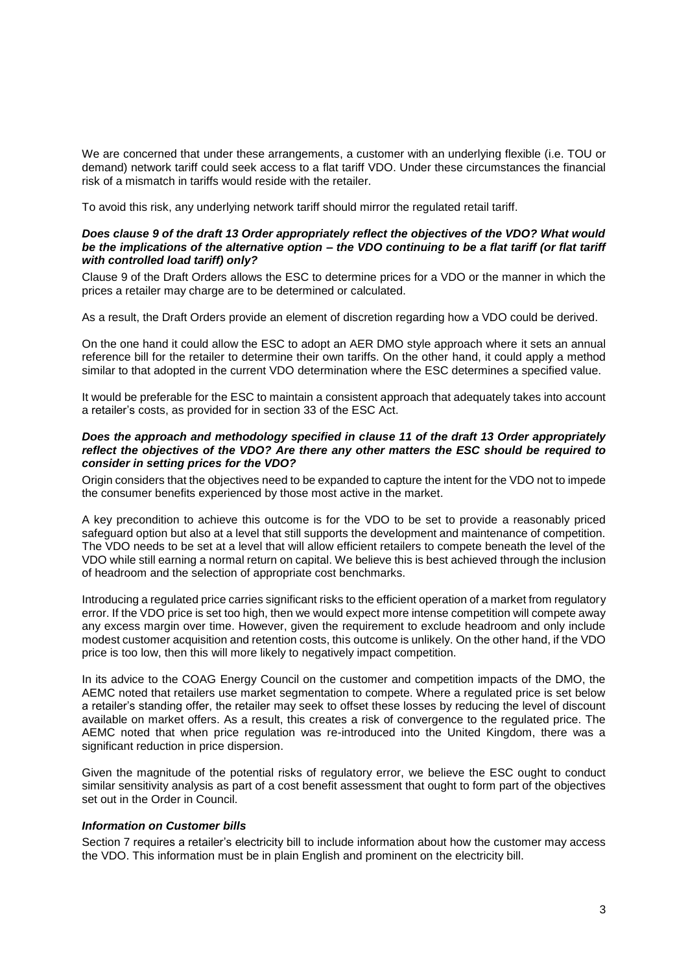We are concerned that under these arrangements, a customer with an underlying flexible (i.e. TOU or demand) network tariff could seek access to a flat tariff VDO. Under these circumstances the financial risk of a mismatch in tariffs would reside with the retailer.

To avoid this risk, any underlying network tariff should mirror the regulated retail tariff.

## *Does clause 9 of the draft 13 Order appropriately reflect the objectives of the VDO? What would be the implications of the alternative option – the VDO continuing to be a flat tariff (or flat tariff with controlled load tariff) only?*

Clause 9 of the Draft Orders allows the ESC to determine prices for a VDO or the manner in which the prices a retailer may charge are to be determined or calculated.

As a result, the Draft Orders provide an element of discretion regarding how a VDO could be derived.

On the one hand it could allow the ESC to adopt an AER DMO style approach where it sets an annual reference bill for the retailer to determine their own tariffs. On the other hand, it could apply a method similar to that adopted in the current VDO determination where the ESC determines a specified value.

It would be preferable for the ESC to maintain a consistent approach that adequately takes into account a retailer's costs, as provided for in section 33 of the ESC Act.

#### *Does the approach and methodology specified in clause 11 of the draft 13 Order appropriately reflect the objectives of the VDO? Are there any other matters the ESC should be required to consider in setting prices for the VDO?*

Origin considers that the objectives need to be expanded to capture the intent for the VDO not to impede the consumer benefits experienced by those most active in the market.

A key precondition to achieve this outcome is for the VDO to be set to provide a reasonably priced safeguard option but also at a level that still supports the development and maintenance of competition. The VDO needs to be set at a level that will allow efficient retailers to compete beneath the level of the VDO while still earning a normal return on capital. We believe this is best achieved through the inclusion of headroom and the selection of appropriate cost benchmarks.

Introducing a regulated price carries significant risks to the efficient operation of a market from regulatory error. If the VDO price is set too high, then we would expect more intense competition will compete away any excess margin over time. However, given the requirement to exclude headroom and only include modest customer acquisition and retention costs, this outcome is unlikely. On the other hand, if the VDO price is too low, then this will more likely to negatively impact competition.

In its advice to the COAG Energy Council on the customer and competition impacts of the DMO, the AEMC noted that retailers use market segmentation to compete. Where a regulated price is set below a retailer's standing offer, the retailer may seek to offset these losses by reducing the level of discount available on market offers. As a result, this creates a risk of convergence to the regulated price. The AEMC noted that when price regulation was re-introduced into the United Kingdom, there was a significant reduction in price dispersion.

Given the magnitude of the potential risks of regulatory error, we believe the ESC ought to conduct similar sensitivity analysis as part of a cost benefit assessment that ought to form part of the objectives set out in the Order in Council.

## *Information on Customer bills*

Section 7 requires a retailer's electricity bill to include information about how the customer may access the VDO. This information must be in plain English and prominent on the electricity bill.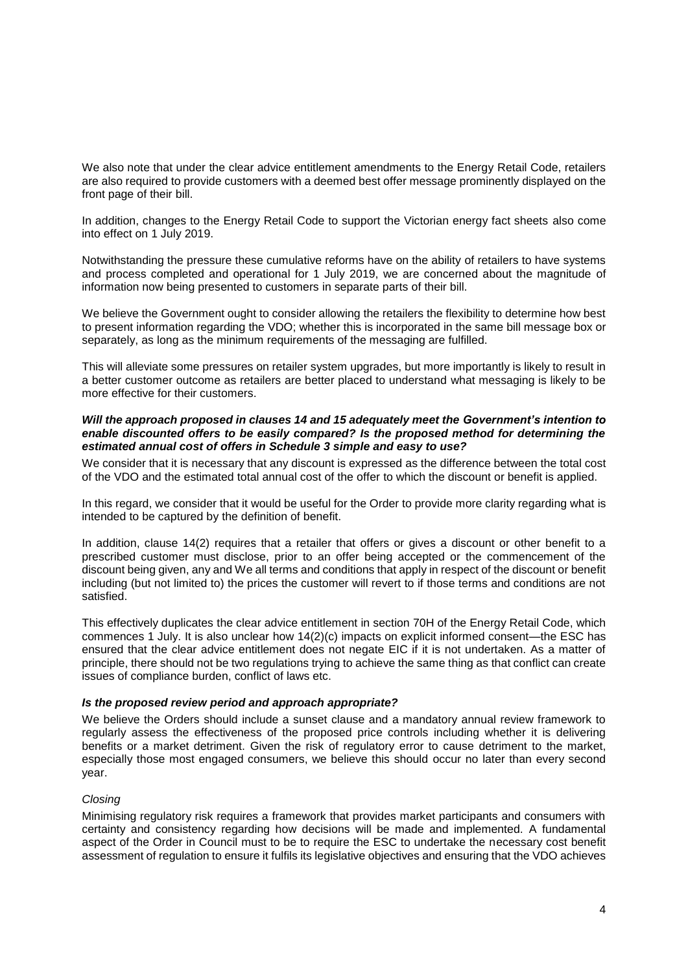We also note that under the clear advice entitlement amendments to the Energy Retail Code, retailers are also required to provide customers with a deemed best offer message prominently displayed on the front page of their bill.

In addition, changes to the Energy Retail Code to support the Victorian energy fact sheets also come into effect on 1 July 2019.

Notwithstanding the pressure these cumulative reforms have on the ability of retailers to have systems and process completed and operational for 1 July 2019, we are concerned about the magnitude of information now being presented to customers in separate parts of their bill.

We believe the Government ought to consider allowing the retailers the flexibility to determine how best to present information regarding the VDO; whether this is incorporated in the same bill message box or separately, as long as the minimum requirements of the messaging are fulfilled.

This will alleviate some pressures on retailer system upgrades, but more importantly is likely to result in a better customer outcome as retailers are better placed to understand what messaging is likely to be more effective for their customers.

## *Will the approach proposed in clauses 14 and 15 adequately meet the Government's intention to enable discounted offers to be easily compared? Is the proposed method for determining the estimated annual cost of offers in Schedule 3 simple and easy to use?*

We consider that it is necessary that any discount is expressed as the difference between the total cost of the VDO and the estimated total annual cost of the offer to which the discount or benefit is applied.

In this regard, we consider that it would be useful for the Order to provide more clarity regarding what is intended to be captured by the definition of benefit.

In addition, clause 14(2) requires that a retailer that offers or gives a discount or other benefit to a prescribed customer must disclose, prior to an offer being accepted or the commencement of the discount being given, any and We all terms and conditions that apply in respect of the discount or benefit including (but not limited to) the prices the customer will revert to if those terms and conditions are not satisfied.

This effectively duplicates the clear advice entitlement in section 70H of the Energy Retail Code, which commences 1 July. It is also unclear how 14(2)(c) impacts on explicit informed consent—the ESC has ensured that the clear advice entitlement does not negate EIC if it is not undertaken. As a matter of principle, there should not be two regulations trying to achieve the same thing as that conflict can create issues of compliance burden, conflict of laws etc.

## *Is the proposed review period and approach appropriate?*

We believe the Orders should include a sunset clause and a mandatory annual review framework to regularly assess the effectiveness of the proposed price controls including whether it is delivering benefits or a market detriment. Given the risk of regulatory error to cause detriment to the market, especially those most engaged consumers, we believe this should occur no later than every second year.

# *Closing*

Minimising regulatory risk requires a framework that provides market participants and consumers with certainty and consistency regarding how decisions will be made and implemented. A fundamental aspect of the Order in Council must to be to require the ESC to undertake the necessary cost benefit assessment of regulation to ensure it fulfils its legislative objectives and ensuring that the VDO achieves